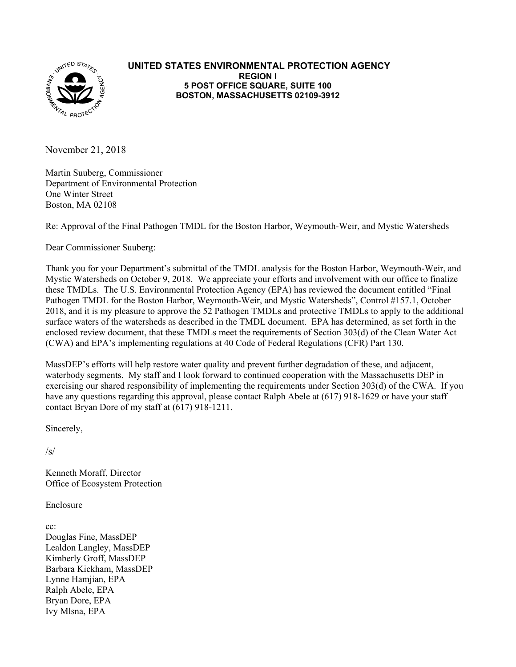

#### **UNITED STATES ENVIRONMENTAL PROTECTION AGENCY REGION I 5 POST OFFICE SQUARE, SUITE 100 BOSTON, MASSACHUSETTS 02109-3912**

November 21, 2018

Martin Suuberg, Commissioner Department of Environmental Protection One Winter Street Boston, MA 02108

Re: Approval of the Final Pathogen TMDL for the Boston Harbor, Weymouth-Weir, and Mystic Watersheds

Dear Commissioner Suuberg:

 2018, and it is my pleasure to approve the 52 Pathogen TMDLs and protective TMDLs to apply to the additional Thank you for your Department's submittal of the TMDL analysis for the Boston Harbor, Weymouth-Weir, and Mystic Watersheds on October 9, 2018. We appreciate your efforts and involvement with our office to finalize these TMDLs. The U.S. Environmental Protection Agency (EPA) has reviewed the document entitled "Final Pathogen TMDL for the Boston Harbor, Weymouth-Weir, and Mystic Watersheds", Control #157.1, October surface waters of the watersheds as described in the TMDL document. EPA has determined, as set forth in the enclosed review document, that these TMDLs meet the requirements of Section 303(d) of the Clean Water Act (CWA) and EPA's implementing regulations at 40 Code of Federal Regulations (CFR) Part 130.

MassDEP's efforts will help restore water quality and prevent further degradation of these, and adjacent, waterbody segments. My staff and I look forward to continued cooperation with the Massachusetts DEP in exercising our shared responsibility of implementing the requirements under Section 303(d) of the CWA. If you have any questions regarding this approval, please contact Ralph Abele at (617) 918-1629 or have your staff contact Bryan Dore of my staff at (617) 918-1211.

Sincerely,

 $\sqrt{s}$ 

Kenneth Moraff, Director Office of Ecosystem Protection

Enclosure

cc:

 Kimberly Groff, MassDEP Douglas Fine, MassDEP Lealdon Langley, MassDEP Barbara Kickham, MassDEP Lynne Hamjian, EPA Ralph Abele, EPA Bryan Dore, EPA Ivy Mlsna, EPA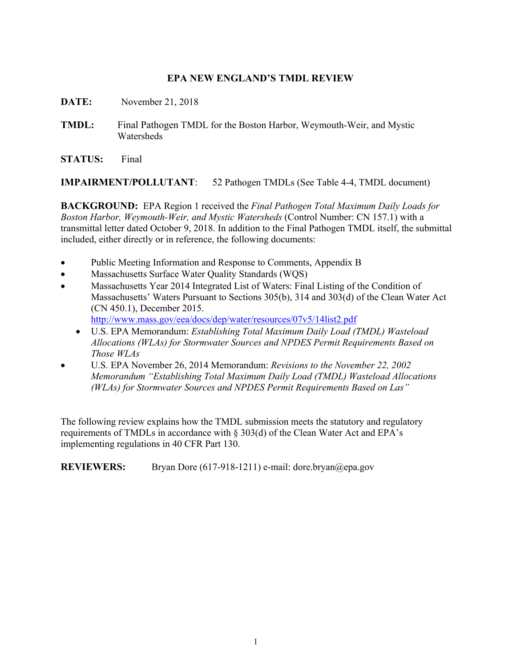### **EPA NEW ENGLAND'S TMDL REVIEW**

- **DATE:** November 21, 2018
- **TMDL:** Final Pathogen TMDL for the Boston Harbor, Weymouth-Weir, and Mystic **Watersheds**

**STATUS:** Final

**IMPAIRMENT/POLLUTANT**: 52 Pathogen TMDLs (See Table 4-4, TMDL document)

**BACKGROUND:** EPA Region 1 received the *Final Pathogen Total Maximum Daily Loads for Boston Harbor, Weymouth-Weir, and Mystic Watersheds* (Control Number: CN 157.1) with a transmittal letter dated October 9, 2018. In addition to the Final Pathogen TMDL itself, the submittal included, either directly or in reference, the following documents:

- Public Meeting Information and Response to Comments, Appendix B
- Massachusetts Surface Water Quality Standards (WQS)
- Massachusetts Year 2014 Integrated List of Waters: Final Listing of the Condition of Massachusetts' Waters Pursuant to Sections 305(b), 314 and 303(d) of the Clean Water Act (CN 450.1), December 2015. <http://www.mass.gov/eea/docs/dep/water/resources/07v5/14list2.pdf>
	- U.S. EPA Memorandum: *Establishing Total Maximum Daily Load (TMDL) Wasteload Allocations (WLAs) for Stormwater Sources and NPDES Permit Requirements Based on Those WLAs*
- U.S. EPA November 26, 2014 Memorandum: *Revisions to the November 22, 2002 Memorandum "Establishing Total Maximum Daily Load (TMDL) Wasteload Allocations (WLAs) for Stormwater Sources and NPDES Permit Requirements Based on Las"*

The following review explains how the TMDL submission meets the statutory and regulatory requirements of TMDLs in accordance with § 303(d) of the Clean Water Act and EPA's implementing regulations in 40 CFR Part 130.

**REVIEWERS:** Bryan Dore (617-918-1211) e-mail: [dore.bryan@epa.gov](mailto:dore.bryan@epa.gov)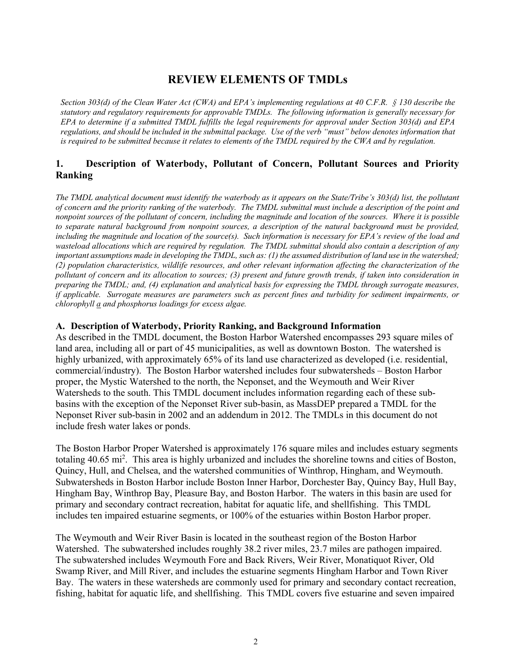# **REVIEW ELEMENTS OF TMDLs**

 *Section 303(d) of the Clean Water Act (CWA) and EPA's implementing regulations at 40 C.F.R. § 130 describe the statutory and regulatory requirements for approvable TMDLs. The following information is generally necessary for EPA to determine if a submitted TMDL fulfills the legal requirements for approval under Section 303(d) and EPA regulations, and should be included in the submittal package. Use of the verb "must" below denotes information that*  is required to be submitted because it relates to elements of the TMDL required by the CWA and by regulation.

## **1. Description of Waterbody, Pollutant of Concern, Pollutant Sources and Priority Ranking**

 *of concern and the priority ranking of the waterbody. The TMDL submittal must include a description of the point and The TMDL analytical document must identify the waterbody as it appears on the State/Tribe's 303(d) list, the pollutant nonpoint sources of the pollutant of concern, including the magnitude and location of the sources. Where it is possible to separate natural background from nonpoint sources, a description of the natural background must be provided, including the magnitude and location of the source(s). Such information is necessary for EPA's review of the load and wasteload allocations which are required by regulation. The TMDL submittal should also contain a description of any important assumptions made in developing the TMDL, such as: (1) the assumed distribution of land use in the watershed; (2) population characteristics, wildlife resources, and other relevant information affecting the characterization of the pollutant of concern and its allocation to sources; (3) present and future growth trends, if taken into consideration in preparing the TMDL; and, (4) explanation and analytical basis for expressing the TMDL through surrogate measures, if applicable. Surrogate measures are parameters such as percent fines and turbidity for sediment impairments, or chlorophyll a and phosphorus loadings for excess algae.* 

#### **A. Description of Waterbody, Priority Ranking, and Background Information**

As described in the TMDL document, the Boston Harbor Watershed encompasses 293 square miles of land area, including all or part of 45 municipalities, as well as downtown Boston. The watershed is highly urbanized, with approximately 65% of its land use characterized as developed (i.e. residential, commercial/industry). The Boston Harbor watershed includes four subwatersheds – Boston Harbor proper, the Mystic Watershed to the north, the Neponset, and the Weymouth and Weir River Watersheds to the south. This TMDL document includes information regarding each of these subbasins with the exception of the Neponset River sub-basin, as MassDEP prepared a TMDL for the Neponset River sub-basin in 2002 and an addendum in 2012. The TMDLs in this document do not include fresh water lakes or ponds.

 Subwatersheds in Boston Harbor include Boston Inner Harbor, Dorchester Bay, Quincy Bay, Hull Bay, The Boston Harbor Proper Watershed is approximately 176 square miles and includes estuary segments totaling 40.65 mi<sup>2</sup>. This area is highly urbanized and includes the shoreline towns and cities of Boston, Quincy, Hull, and Chelsea, and the watershed communities of Winthrop, Hingham, and Weymouth. Hingham Bay, Winthrop Bay, Pleasure Bay, and Boston Harbor. The waters in this basin are used for primary and secondary contract recreation, habitat for aquatic life, and shellfishing. This TMDL includes ten impaired estuarine segments, or 100% of the estuaries within Boston Harbor proper.

 Swamp River, and Mill River, and includes the estuarine segments Hingham Harbor and Town River Bay. The waters in these watersheds are commonly used for primary and secondary contact recreation, The Weymouth and Weir River Basin is located in the southeast region of the Boston Harbor Watershed. The subwatershed includes roughly 38.2 river miles, 23.7 miles are pathogen impaired. The subwatershed includes Weymouth Fore and Back Rivers, Weir River, Monatiquot River, Old fishing, habitat for aquatic life, and shellfishing. This TMDL covers five estuarine and seven impaired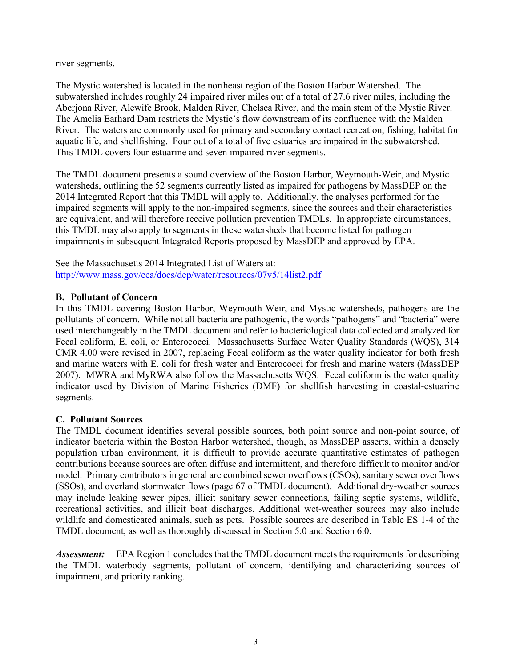river segments.

The Mystic watershed is located in the northeast region of the Boston Harbor Watershed. The subwatershed includes roughly 24 impaired river miles out of a total of 27.6 river miles, including the Aberjona River, Alewife Brook, Malden River, Chelsea River, and the main stem of the Mystic River. The Amelia Earhard Dam restricts the Mystic's flow downstream of its confluence with the Malden River. The waters are commonly used for primary and secondary contact recreation, fishing, habitat for aquatic life, and shellfishing. Four out of a total of five estuaries are impaired in the subwatershed. This TMDL covers four estuarine and seven impaired river segments.

 impairments in subsequent Integrated Reports proposed by MassDEP and approved by EPA. The TMDL document presents a sound overview of the Boston Harbor, Weymouth-Weir, and Mystic watersheds, outlining the 52 segments currently listed as impaired for pathogens by MassDEP on the 2014 Integrated Report that this TMDL will apply to. Additionally, the analyses performed for the impaired segments will apply to the non-impaired segments, since the sources and their characteristics are equivalent, and will therefore receive pollution prevention TMDLs. In appropriate circumstances, this TMDL may also apply to segments in these watersheds that become listed for pathogen

See the Massachusetts 2014 Integrated List of Waters at: <http://www.mass.gov/eea/docs/dep/water/resources/07v5/14list2.pdf>

#### **B. Pollutant of Concern**

In this TMDL covering Boston Harbor, Weymouth-Weir, and Mystic watersheds, pathogens are the pollutants of concern. While not all bacteria are pathogenic, the words "pathogens" and "bacteria" were used interchangeably in the TMDL document and refer to bacteriological data collected and analyzed for Fecal coliform, E. coli, or Enterococci. Massachusetts Surface Water Quality Standards (WQS), 314 CMR 4.00 were revised in 2007, replacing Fecal coliform as the water quality indicator for both fresh and marine waters with E. coli for fresh water and Enterococci for fresh and marine waters (MassDEP 2007). MWRA and MyRWA also follow the Massachusetts WQS. Fecal coliform is the water quality indicator used by Division of Marine Fisheries (DMF) for shellfish harvesting in coastal-estuarine segments.

## **C. Pollutant Sources**

 model. Primary contributors in general are combined sewer overflows (CSOs), sanitary sewer overflows recreational activities, and illicit boat discharges. Additional wet-weather sources may also include wildlife and domesticated animals, such as pets. Possible sources are described in Table ES 1-4 of the The TMDL document identifies several possible sources, both point source and non-point source, of indicator bacteria within the Boston Harbor watershed, though, as MassDEP asserts, within a densely population urban environment, it is difficult to provide accurate quantitative estimates of pathogen contributions because sources are often diffuse and intermittent, and therefore difficult to monitor and/or (SSOs), and overland stormwater flows (page 67 of TMDL document). Additional dry-weather sources may include leaking sewer pipes, illicit sanitary sewer connections, failing septic systems, wildlife, TMDL document, as well as thoroughly discussed in Section 5.0 and Section 6.0.

 impairment, and priority ranking. *Assessment:* EPA Region 1 concludes that the TMDL document meets the requirements for describing the TMDL waterbody segments, pollutant of concern, identifying and characterizing sources of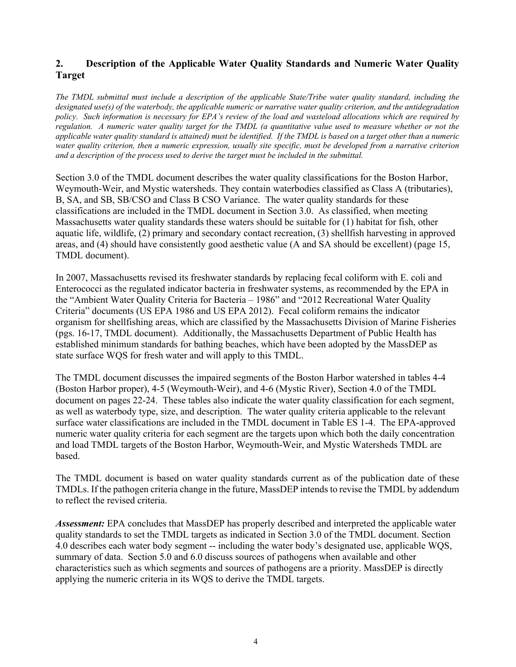## **2. Description of the Applicable Water Quality Standards and Numeric Water Quality Target**

 *The TMDL submittal must include a description of the applicable State/Tribe water quality standard, including the applicable water quality standard is attained) must be identified. If the TMDL is based on a target other than a numeric and a description of the process used to derive the target must be included in the submittal. designated use(s) of the waterbody, the applicable numeric or narrative water quality criterion, and the antidegradation policy. Such information is necessary for EPA's review of the load and wasteload allocations which are required by regulation. A numeric water quality target for the TMDL (a quantitative value used to measure whether or not the water quality criterion, then a numeric expression, usually site specific, must be developed from a narrative criterion* 

Section 3.0 of the TMDL document describes the water quality classifications for the Boston Harbor, Weymouth-Weir, and Mystic watersheds. They contain waterbodies classified as Class A (tributaries), B, SA, and SB, SB/CSO and Class B CSO Variance. The water quality standards for these classifications are included in the TMDL document in Section 3.0. As classified, when meeting Massachusetts water quality standards these waters should be suitable for (1) habitat for fish, other aquatic life, wildlife, (2) primary and secondary contact recreation, (3) shellfish harvesting in approved areas, and (4) should have consistently good aesthetic value (A and SA should be excellent) (page 15, TMDL document).

In 2007, Massachusetts revised its freshwater standards by replacing fecal coliform with E. coli and Enterococci as the regulated indicator bacteria in freshwater systems, as recommended by the EPA in the "Ambient Water Quality Criteria for Bacteria – 1986" and "2012 Recreational Water Quality Criteria" documents (US EPA 1986 and US EPA 2012). Fecal coliform remains the indicator organism for shellfishing areas, which are classified by the Massachusetts Division of Marine Fisheries (pgs. 16-17, TMDL document). Additionally, the Massachusetts Department of Public Health has established minimum standards for bathing beaches, which have been adopted by the MassDEP as state surface WQS for fresh water and will apply to this TMDL.

 The TMDL document discusses the impaired segments of the Boston Harbor watershed in tables 4-4 as well as waterbody type, size, and description. The water quality criteria applicable to the relevant (Boston Harbor proper), 4-5 (Weymouth-Weir), and 4-6 (Mystic River), Section 4.0 of the TMDL document on pages 22-24. These tables also indicate the water quality classification for each segment, surface water classifications are included in the TMDL document in Table ES 1-4. The EPA-approved numeric water quality criteria for each segment are the targets upon which both the daily concentration and load TMDL targets of the Boston Harbor, Weymouth-Weir, and Mystic Watersheds TMDL are based.

The TMDL document is based on water quality standards current as of the publication date of these TMDLs. If the pathogen criteria change in the future, MassDEP intends to revise the TMDL by addendum to reflect the revised criteria.

*Assessment:* EPA concludes that MassDEP has properly described and interpreted the applicable water quality standards to set the TMDL targets as indicated in Section 3.0 of the TMDL document. Section 4.0 describes each water body segment -- including the water body's designated use, applicable WQS, summary of data. Section 5.0 and 6.0 discuss sources of pathogens when available and other characteristics such as which segments and sources of pathogens are a priority. MassDEP is directly applying the numeric criteria in its WQS to derive the TMDL targets.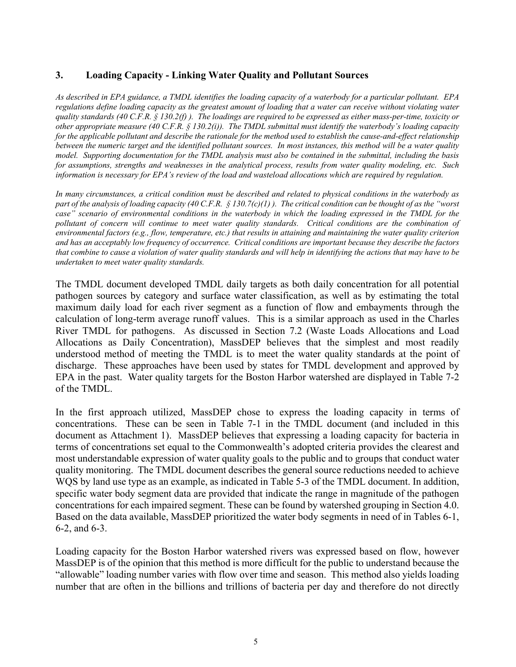## **3. Loading Capacity - Linking Water Quality and Pollutant Sources**

*As described in EPA guidance, a TMDL identifies the loading capacity of a waterbody for a particular pollutant. EPA regulations define loading capacity as the greatest amount of loading that a water can receive without violating water quality standards (40 C.F.R. § 130.2(f) ). The loadings are required to be expressed as either mass-per-time, toxicity or other appropriate measure (40 C.F.R. § 130.2(i)). The TMDL submittal must identify the waterbody's loading capacity for the applicable pollutant and describe the rationale for the method used to establish the cause-and-effect relationship between the numeric target and the identified pollutant sources. In most instances, this method will be a water quality model. Supporting documentation for the TMDL analysis must also be contained in the submittal, including the basis for assumptions, strengths and weaknesses in the analytical process, results from water quality modeling, etc. Such information is necessary for EPA's review of the load and wasteload allocations which are required by regulation.* 

 *In many circumstances, a critical condition must be described and related to physical conditions in the waterbody as environmental factors (e.g., flow, temperature, etc.) that results in attaining and maintaining the water quality criterion that combine to cause a violation of water quality standards and will help in identifying the actions that may have to be part of the analysis of loading capacity (40 C.F.R. § 130.7(c)(1) ). The critical condition can be thought of as the "worst case" scenario of environmental conditions in the waterbody in which the loading expressed in the TMDL for the* pollutant of concern will continue to meet water quality standards. Critical conditions are the combination of *and has an acceptably low frequency of occurrence. Critical conditions are important because they describe the factors undertaken to meet water quality standards.* 

 maximum daily load for each river segment as a function of flow and embayments through the calculation of long-term average runoff values. This is a similar approach as used in the Charles The TMDL document developed TMDL daily targets as both daily concentration for all potential pathogen sources by category and surface water classification, as well as by estimating the total River TMDL for pathogens. As discussed in Section 7.2 (Waste Loads Allocations and Load Allocations as Daily Concentration), MassDEP believes that the simplest and most readily understood method of meeting the TMDL is to meet the water quality standards at the point of discharge. These approaches have been used by states for TMDL development and approved by EPA in the past. Water quality targets for the Boston Harbor watershed are displayed in Table 7-2 of the TMDL.

 document as Attachment 1). MassDEP believes that expressing a loading capacity for bacteria in In the first approach utilized, MassDEP chose to express the loading capacity in terms of concentrations. These can be seen in Table 7-1 in the TMDL document (and included in this terms of concentrations set equal to the Commonwealth's adopted criteria provides the clearest and most understandable expression of water quality goals to the public and to groups that conduct water quality monitoring. The TMDL document describes the general source reductions needed to achieve WQS by land use type as an example, as indicated in Table 5-3 of the TMDL document. In addition, specific water body segment data are provided that indicate the range in magnitude of the pathogen concentrations for each impaired segment. These can be found by watershed grouping in Section 4.0. Based on the data available, MassDEP prioritized the water body segments in need of in Tables 6-1, 6-2, and 6-3.

 number that are often in the billions and trillions of bacteria per day and therefore do not directly Loading capacity for the Boston Harbor watershed rivers was expressed based on flow, however MassDEP is of the opinion that this method is more difficult for the public to understand because the "allowable" loading number varies with flow over time and season. This method also yields loading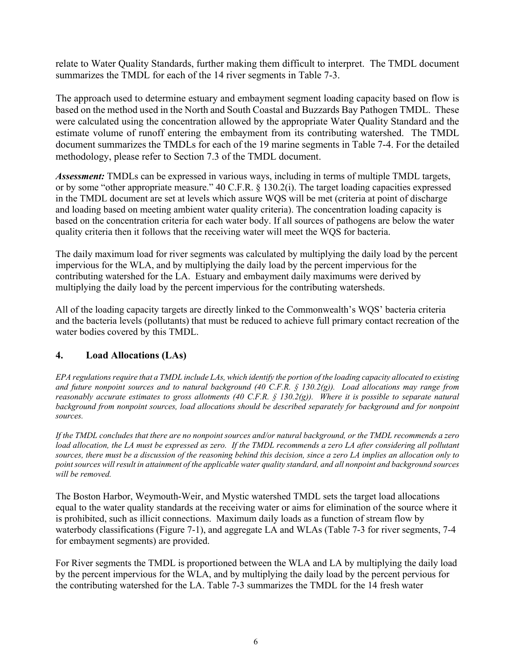relate to Water Quality Standards, further making them difficult to interpret. The TMDL document summarizes the TMDL for each of the 14 river segments in Table 7-3.

 based on the method used in the North and South Coastal and Buzzards Bay Pathogen TMDL. These were calculated using the concentration allowed by the appropriate Water Quality Standard and the estimate volume of runoff entering the embayment from its contributing watershed. The TMDL The approach used to determine estuary and embayment segment loading capacity based on flow is document summarizes the TMDLs for each of the 19 marine segments in Table 7-4. For the detailed methodology, please refer to Section 7.3 of the TMDL document.

*Assessment:* TMDLs can be expressed in various ways, including in terms of multiple TMDL targets, or by some "other appropriate measure." 40 C.F.R. § 130.2(i). The target loading capacities expressed in the TMDL document are set at levels which assure WQS will be met (criteria at point of discharge and loading based on meeting ambient water quality criteria). The concentration loading capacity is based on the concentration criteria for each water body. If all sources of pathogens are below the water quality criteria then it follows that the receiving water will meet the WQS for bacteria.

The daily maximum load for river segments was calculated by multiplying the daily load by the percent impervious for the WLA, and by multiplying the daily load by the percent impervious for the contributing watershed for the LA. Estuary and embayment daily maximums were derived by multiplying the daily load by the percent impervious for the contributing watersheds.

All of the loading capacity targets are directly linked to the Commonwealth's WQS' bacteria criteria and the bacteria levels (pollutants) that must be reduced to achieve full primary contact recreation of the water bodies covered by this TMDL.

## **4. Load Allocations (LAs)**

background from nonpoint sources, load allocations should be described separately for background and for nonpoint *EPA regulations require that a TMDL include LAs, which identify the portion of the loading capacity allocated to existing and future nonpoint sources and to natural background (40 C.F.R. § 130.2(g)). Load allocations may range from reasonably accurate estimates to gross allotments (40 C.F.R. § 130.2(g)). Where it is possible to separate natural sources.* 

load allocation, the LA must be expressed as zero. If the TMDL recommends a zero LA after considering all pollutant  *point sources will result in attainment of the applicable water quality standard, and all nonpoint and background sources If the TMDL concludes that there are no nonpoint sources and/or natural background, or the TMDL recommends a zero sources, there must be a discussion of the reasoning behind this decision, since a zero LA implies an allocation only to will be removed.* 

 for embayment segments) are provided. The Boston Harbor, Weymouth-Weir, and Mystic watershed TMDL sets the target load allocations equal to the water quality standards at the receiving water or aims for elimination of the source where it is prohibited, such as illicit connections. Maximum daily loads as a function of stream flow by waterbody classifications (Figure 7-1), and aggregate LA and WLAs (Table 7-3 for river segments, 7-4

For River segments the TMDL is proportioned between the WLA and LA by multiplying the daily load by the percent impervious for the WLA, and by multiplying the daily load by the percent pervious for the contributing watershed for the LA. Table 7-3 summarizes the TMDL for the 14 fresh water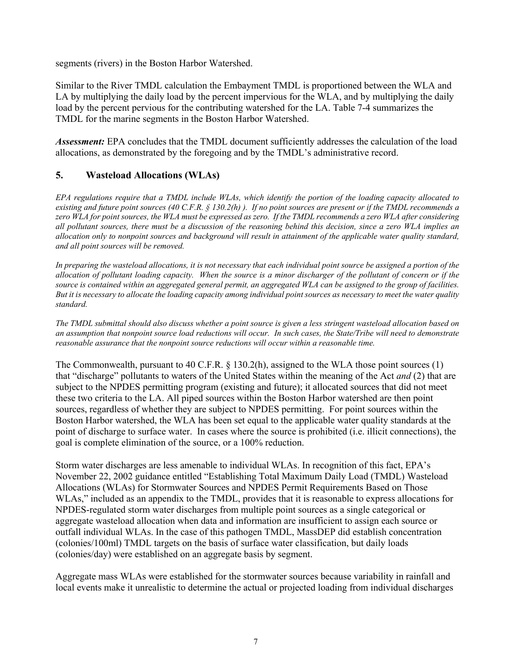segments (rivers) in the Boston Harbor Watershed.

Similar to the River TMDL calculation the Embayment TMDL is proportioned between the WLA and LA by multiplying the daily load by the percent impervious for the WLA, and by multiplying the daily load by the percent pervious for the contributing watershed for the LA. Table 7-4 summarizes the TMDL for the marine segments in the Boston Harbor Watershed.

*Assessment:* EPA concludes that the TMDL document sufficiently addresses the calculation of the load allocations, as demonstrated by the foregoing and by the TMDL's administrative record.

## **5. Wasteload Allocations (WLAs)**

*EPA regulations require that a TMDL include WLAs, which identify the portion of the loading capacity allocated to existing and future point sources (40 C.F.R. § 130.2(h) ). If no point sources are present or if the TMDL recommends a zero WLA for point sources, the WLA must be expressed as zero. If the TMDL recommends a zero WLA after considering all pollutant sources, there must be a discussion of the reasoning behind this decision, since a zero WLA implies an allocation only to nonpoint sources and background will result in attainment of the applicable water quality standard, and all point sources will be removed.* 

 *allocation of pollutant loading capacity. When the source is a minor discharger of the pollutant of concern or if the source is contained within an aggregated general permit, an aggregated WLA can be assigned to the group of facilities. In preparing the wasteload allocations, it is not necessary that each individual point source be assigned a portion of the But it is necessary to allocate the loading capacity among individual point sources as necessary to meet the water quality standard.* 

 *an assumption that nonpoint source load reductions will occur. In such cases, the State/Tribe will need to demonstrate The TMDL submittal should also discuss whether a point source is given a less stringent wasteload allocation based on reasonable assurance that the nonpoint source reductions will occur within a reasonable time.* 

 goal is complete elimination of the source, or a 100% reduction. The Commonwealth, pursuant to 40 C.F.R. § 130.2(h), assigned to the WLA those point sources (1) that "discharge" pollutants to waters of the United States within the meaning of the Act *and* (2) that are subject to the NPDES permitting program (existing and future); it allocated sources that did not meet these two criteria to the LA. All piped sources within the Boston Harbor watershed are then point sources, regardless of whether they are subject to NPDES permitting. For point sources within the Boston Harbor watershed, the WLA has been set equal to the applicable water quality standards at the point of discharge to surface water. In cases where the source is prohibited (i.e. illicit connections), the

Storm water discharges are less amenable to individual WLAs. In recognition of this fact, EPA's November 22, 2002 guidance entitled "Establishing Total Maximum Daily Load (TMDL) Wasteload Allocations (WLAs) for Stormwater Sources and NPDES Permit Requirements Based on Those WLAs," included as an appendix to the TMDL, provides that it is reasonable to express allocations for NPDES-regulated storm water discharges from multiple point sources as a single categorical or aggregate wasteload allocation when data and information are insufficient to assign each source or outfall individual WLAs. In the case of this pathogen TMDL, MassDEP did establish concentration (colonies/100ml) TMDL targets on the basis of surface water classification, but daily loads (colonies/day) were established on an aggregate basis by segment.

Aggregate mass WLAs were established for the stormwater sources because variability in rainfall and local events make it unrealistic to determine the actual or projected loading from individual discharges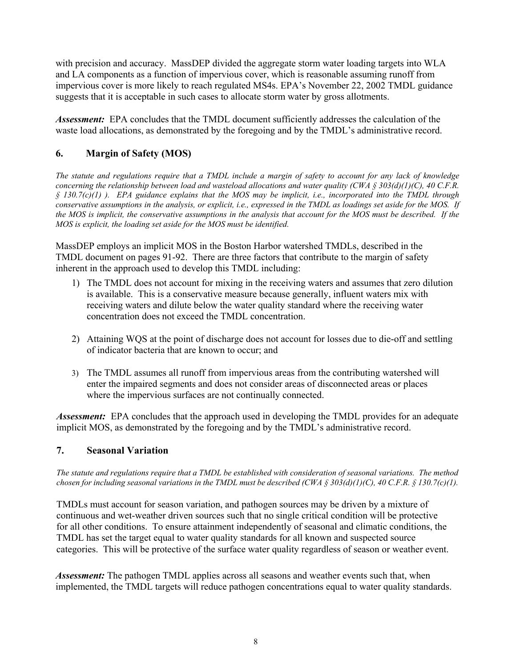with precision and accuracy. MassDEP divided the aggregate storm water loading targets into WLA and LA components as a function of impervious cover, which is reasonable assuming runoff from impervious cover is more likely to reach regulated MS4s. EPA's November 22, 2002 TMDL guidance suggests that it is acceptable in such cases to allocate storm water by gross allotments.

 *Assessment:* EPA concludes that the TMDL document sufficiently addresses the calculation of the waste load allocations, as demonstrated by the foregoing and by the TMDL's administrative record.

# **6. Margin of Safety (MOS)**

 *conservative assumptions in the analysis, or explicit, i.e., expressed in the TMDL as loadings set aside for the MOS. If the MOS is implicit, the conservative assumptions in the analysis that account for the MOS must be described. If the MOS is explicit, the loading set aside for the MOS must be identified. The statute and regulations require that a TMDL include a margin of safety to account for any lack of knowledge concerning the relationship between load and wasteload allocations and water quality (CWA § 303(d)(1)(C), 40 C.F.R. § 130.7(c)(1) ). EPA guidance explains that the MOS may be implicit, i.e., incorporated into the TMDL through* 

MassDEP employs an implicit MOS in the Boston Harbor watershed TMDLs, described in the TMDL document on pages 91-92. There are three factors that contribute to the margin of safety inherent in the approach used to develop this TMDL including:

- 1) The TMDL does not account for mixing in the receiving waters and assumes that zero dilution is available. This is a conservative measure because generally, influent waters mix with receiving waters and dilute below the water quality standard where the receiving water concentration does not exceed the TMDL concentration.
- 2) Attaining WQS at the point of discharge does not account for losses due to die-off and settling of indicator bacteria that are known to occur; and
- 3) The TMDL assumes all runoff from impervious areas from the contributing watershed will enter the impaired segments and does not consider areas of disconnected areas or places where the impervious surfaces are not continually connected.

 *Assessment:* EPA concludes that the approach used in developing the TMDL provides for an adequate implicit MOS, as demonstrated by the foregoing and by the TMDL's administrative record.

## **7. Seasonal Variation**

*The statute and regulations require that a TMDL be established with consideration of seasonal variations. The method chosen for including seasonal variations in the TMDL must be described (CWA § 303(d)(1)(C), 40 C.F.R. § 130.7(c)(1).* 

TMDLs must account for season variation, and pathogen sources may be driven by a mixture of continuous and wet-weather driven sources such that no single critical condition will be protective for all other conditions. To ensure attainment independently of seasonal and climatic conditions, the TMDL has set the target equal to water quality standards for all known and suspected source categories. This will be protective of the surface water quality regardless of season or weather event.

*Assessment:* The pathogen TMDL applies across all seasons and weather events such that, when implemented, the TMDL targets will reduce pathogen concentrations equal to water quality standards.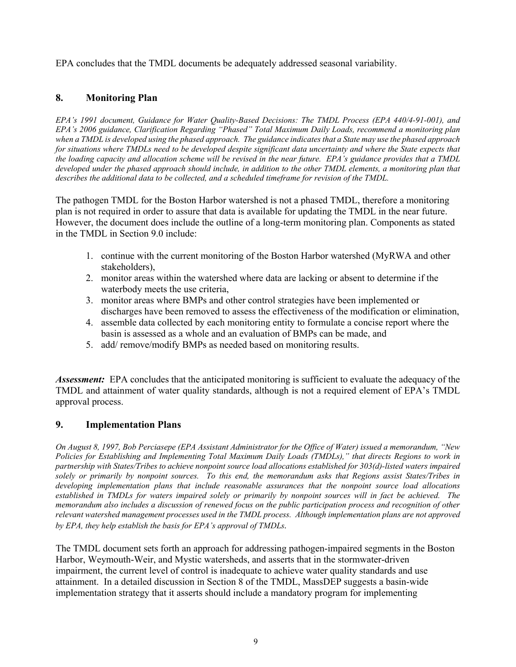EPA concludes that the TMDL documents be adequately addressed seasonal variability.

# **8. Monitoring Plan**

*EPA's 1991 document, Guidance for Water Quality-Based Decisions: The TMDL Process (EPA 440/4-91-001), and EPA's 2006 guidance, Clarification Regarding "Phased" Total Maximum Daily Loads, recommend a monitoring plan when a TMDL is developed using the phased approach. The guidance indicates that a State may use the phased approach for situations where TMDLs need to be developed despite significant data uncertainty and where the State expects that the loading capacity and allocation scheme will be revised in the near future. EPA's guidance provides that a TMDL*  developed under the phased approach should include, in addition to the other TMDL elements, a monitoring plan that *describes the additional data to be collected, and a scheduled timeframe for revision of the TMDL.* 

 The pathogen TMDL for the Boston Harbor watershed is not a phased TMDL, therefore a monitoring plan is not required in order to assure that data is available for updating the TMDL in the near future. However, the document does include the outline of a long-term monitoring plan. Components as stated in the TMDL in Section 9.0 include:

- 1. continue with the current monitoring of the Boston Harbor watershed (MyRWA and other stakeholders),
- 2. monitor areas within the watershed where data are lacking or absent to determine if the waterbody meets the use criteria,
- 3. monitor areas where BMPs and other control strategies have been implemented or discharges have been removed to assess the effectiveness of the modification or elimination,
- 4. assemble data collected by each monitoring entity to formulate a concise report where the basin is assessed as a whole and an evaluation of BMPs can be made, and
- 5. add/ remove/modify BMPs as needed based on monitoring results.

 *Assessment:* EPA concludes that the anticipated monitoring is sufficient to evaluate the adequacy of the TMDL and attainment of water quality standards, although is not a required element of EPA's TMDL approval process.

## **9. Implementation Plans**

 *memorandum also includes a discussion of renewed focus on the public participation process and recognition of other relevant watershed management processes used in the TMDL process. Although implementation plans are not approved On August 8, 1997, Bob Perciasepe (EPA Assistant Administrator for the Office of Water) issued a memorandum, "New Policies for Establishing and Implementing Total Maximum Daily Loads (TMDLs)," that directs Regions to work in partnership with States/Tribes to achieve nonpoint source load allocations established for 303(d)-listed waters impaired solely or primarily by nonpoint sources. To this end, the memorandum asks that Regions assist States/Tribes in developing implementation plans that include reasonable assurances that the nonpoint source load allocations established in TMDLs for waters impaired solely or primarily by nonpoint sources will in fact be achieved. The by EPA, they help establish the basis for EPA's approval of TMDLs.* 

The TMDL document sets forth an approach for addressing pathogen-impaired segments in the Boston Harbor, Weymouth-Weir, and Mystic watersheds, and asserts that in the stormwater-driven impairment, the current level of control is inadequate to achieve water quality standards and use attainment. In a detailed discussion in Section 8 of the TMDL, MassDEP suggests a basin-wide implementation strategy that it asserts should include a mandatory program for implementing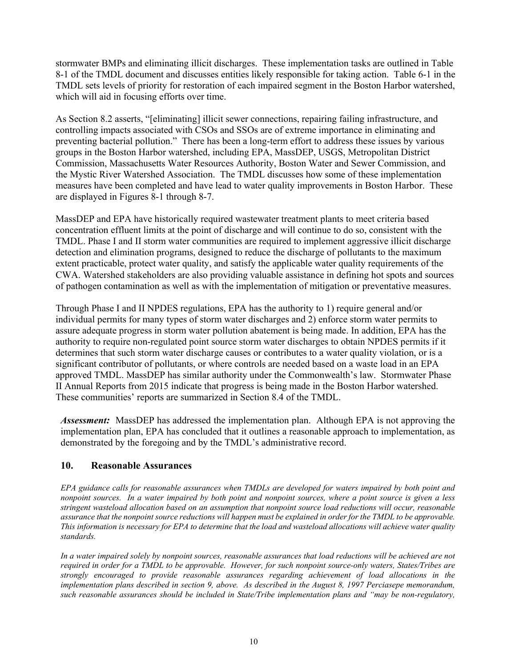stormwater BMPs and eliminating illicit discharges. These implementation tasks are outlined in Table 8-1 of the TMDL document and discusses entities likely responsible for taking action. Table 6-1 in the TMDL sets levels of priority for restoration of each impaired segment in the Boston Harbor watershed, which will aid in focusing efforts over time.

As Section 8.2 asserts, "[eliminating] illicit sewer connections, repairing failing infrastructure, and controlling impacts associated with CSOs and SSOs are of extreme importance in eliminating and preventing bacterial pollution." There has been a long-term effort to address these issues by various groups in the Boston Harbor watershed, including EPA, MassDEP, USGS, Metropolitan District Commission, Massachusetts Water Resources Authority, Boston Water and Sewer Commission, and the Mystic River Watershed Association. The TMDL discusses how some of these implementation measures have been completed and have lead to water quality improvements in Boston Harbor. These are displayed in Figures 8-1 through 8-7.

MassDEP and EPA have historically required wastewater treatment plants to meet criteria based concentration effluent limits at the point of discharge and will continue to do so, consistent with the TMDL. Phase I and II storm water communities are required to implement aggressive illicit discharge detection and elimination programs, designed to reduce the discharge of pollutants to the maximum extent practicable, protect water quality, and satisfy the applicable water quality requirements of the CWA. Watershed stakeholders are also providing valuable assistance in defining hot spots and sources of pathogen contamination as well as with the implementation of mitigation or preventative measures.

Through Phase I and II NPDES regulations, EPA has the authority to 1) require general and/or individual permits for many types of storm water discharges and 2) enforce storm water permits to assure adequate progress in storm water pollution abatement is being made. In addition, EPA has the authority to require non-regulated point source storm water discharges to obtain NPDES permits if it determines that such storm water discharge causes or contributes to a water quality violation, or is a significant contributor of pollutants, or where controls are needed based on a waste load in an EPA approved TMDL. MassDEP has similar authority under the Commonwealth's law. Stormwater Phase II Annual Reports from 2015 indicate that progress is being made in the Boston Harbor watershed. These communities' reports are summarized in Section 8.4 of the TMDL.

 *Assessment:* MassDEP has addressed the implementation plan. Although EPA is not approving the implementation plan, EPA has concluded that it outlines a reasonable approach to implementation, as demonstrated by the foregoing and by the TMDL's administrative record.

#### **10. Reasonable Assurances**

*EPA guidance calls for reasonable assurances when TMDLs are developed for waters impaired by both point and nonpoint sources. In a water impaired by both point and nonpoint sources, where a point source is given a less stringent wasteload allocation based on an assumption that nonpoint source load reductions will occur, reasonable assurance that the nonpoint source reductions will happen must be explained in order for the TMDL to be approvable. This information is necessary for EPA to determine that the load and wasteload allocations will achieve water quality standards.* 

 *implementation plans described in section 9, above. As described in the August 8, 1997 Perciasepe memorandum, In a water impaired solely by nonpoint sources, reasonable assurances that load reductions will be achieved are not required in order for a TMDL to be approvable. However, for such nonpoint source-only waters, States/Tribes are strongly encouraged to provide reasonable assurances regarding achievement of load allocations in the such reasonable assurances should be included in State/Tribe implementation plans and "may be non-regulatory,*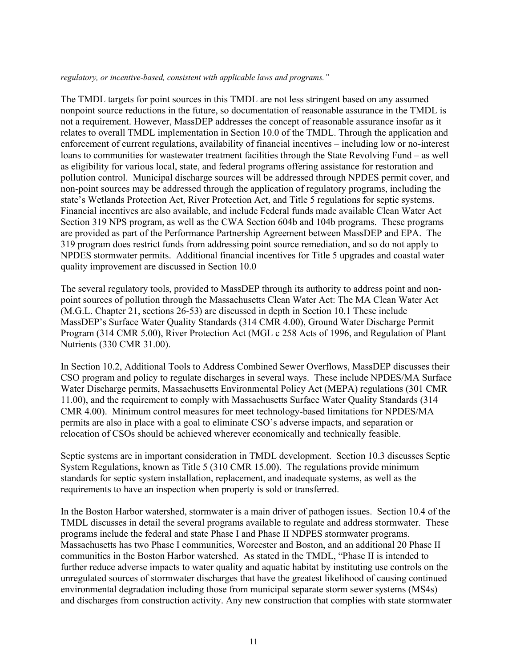#### *regulatory, or incentive-based, consistent with applicable laws and programs."*

The TMDL targets for point sources in this TMDL are not less stringent based on any assumed nonpoint source reductions in the future, so documentation of reasonable assurance in the TMDL is not a requirement. However, MassDEP addresses the concept of reasonable assurance insofar as it relates to overall TMDL implementation in Section 10.0 of the TMDL. Through the application and enforcement of current regulations, availability of financial incentives – including low or no-interest loans to communities for wastewater treatment facilities through the State Revolving Fund – as well as eligibility for various local, state, and federal programs offering assistance for restoration and pollution control. Municipal discharge sources will be addressed through NPDES permit cover, and non-point sources may be addressed through the application of regulatory programs, including the state's Wetlands Protection Act, River Protection Act, and Title 5 regulations for septic systems. Financial incentives are also available, and include Federal funds made available Clean Water Act Section 319 NPS program, as well as the CWA Section 604b and 104b programs. These programs are provided as part of the Performance Partnership Agreement between MassDEP and EPA. The 319 program does restrict funds from addressing point source remediation, and so do not apply to NPDES stormwater permits. Additional financial incentives for Title 5 upgrades and coastal water quality improvement are discussed in Section 10.0

The several regulatory tools, provided to MassDEP through its authority to address point and nonpoint sources of pollution through the Massachusetts Clean Water Act: The MA Clean Water Act (M.G.L. Chapter 21, sections 26-53) are discussed in depth in Section 10.1 These include MassDEP's Surface Water Quality Standards (314 CMR 4.00), Ground Water Discharge Permit Program (314 CMR 5.00), River Protection Act (MGL c 258 Acts of 1996, and Regulation of Plant Nutrients (330 CMR 31.00).

In Section 10.2, Additional Tools to Address Combined Sewer Overflows, MassDEP discusses their CSO program and policy to regulate discharges in several ways. These include NPDES/MA Surface Water Discharge permits, Massachusetts Environmental Policy Act (MEPA) regulations (301 CMR 11.00), and the requirement to comply with Massachusetts Surface Water Quality Standards (314 CMR 4.00). Minimum control measures for meet technology-based limitations for NPDES/MA permits are also in place with a goal to eliminate CSO's adverse impacts, and separation or relocation of CSOs should be achieved wherever economically and technically feasible.

Septic systems are in important consideration in TMDL development. Section 10.3 discusses Septic System Regulations, known as Title 5 (310 CMR 15.00). The regulations provide minimum standards for septic system installation, replacement, and inadequate systems, as well as the requirements to have an inspection when property is sold or transferred.

In the Boston Harbor watershed, stormwater is a main driver of pathogen issues. Section 10.4 of the TMDL discusses in detail the several programs available to regulate and address stormwater. These programs include the federal and state Phase I and Phase II NDPES stormwater programs. Massachusetts has two Phase I communities, Worcester and Boston, and an additional 20 Phase II communities in the Boston Harbor watershed. As stated in the TMDL, "Phase II is intended to further reduce adverse impacts to water quality and aquatic habitat by instituting use controls on the unregulated sources of stormwater discharges that have the greatest likelihood of causing continued environmental degradation including those from municipal separate storm sewer systems (MS4s) and discharges from construction activity. Any new construction that complies with state stormwater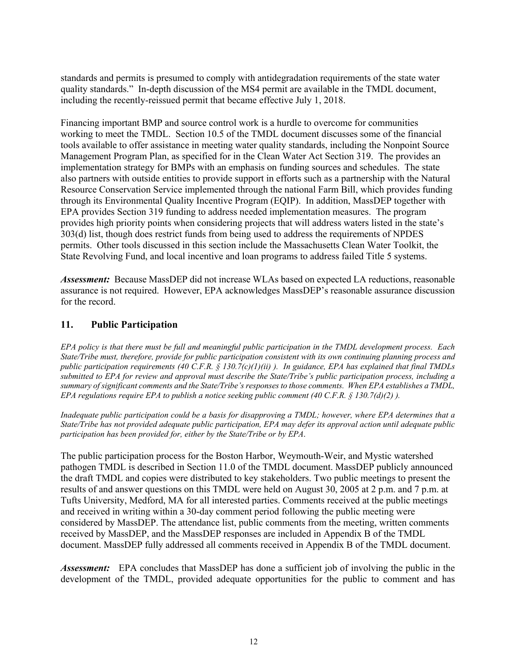including the recently-reissued permit that became effective July 1, 2018. standards and permits is presumed to comply with antidegradation requirements of the state water quality standards." In-depth discussion of the MS4 permit are available in the TMDL document,

Financing important BMP and source control work is a hurdle to overcome for communities working to meet the TMDL. Section 10.5 of the TMDL document discusses some of the financial tools available to offer assistance in meeting water quality standards, including the Nonpoint Source Management Program Plan, as specified for in the Clean Water Act Section 319. The provides an implementation strategy for BMPs with an emphasis on funding sources and schedules. The state also partners with outside entities to provide support in efforts such as a partnership with the Natural Resource Conservation Service implemented through the national Farm Bill, which provides funding through its Environmental Quality Incentive Program (EQIP). In addition, MassDEP together with EPA provides Section 319 funding to address needed implementation measures. The program provides high priority points when considering projects that will address waters listed in the state's 303(d) list, though does restrict funds from being used to address the requirements of NPDES permits. Other tools discussed in this section include the Massachusetts Clean Water Toolkit, the State Revolving Fund, and local incentive and loan programs to address failed Title 5 systems.

 *Assessment:* Because MassDEP did not increase WLAs based on expected LA reductions, reasonable assurance is not required. However, EPA acknowledges MassDEP's reasonable assurance discussion for the record.

#### **11. Public Participation**

 *State/Tribe must, therefore, provide for public participation consistent with its own continuing planning process and submitted to EPA for review and approval must describe the State/Tribe's public participation process, including a EPA regulations require EPA to publish a notice seeking public comment (40 C.F.R. § 130.7(d)(2)). EPA policy is that there must be full and meaningful public participation in the TMDL development process. Each public participation requirements (40 C.F.R. § 130.7(c)(1)(ii) ). In guidance, EPA has explained that final TMDLs summary of significant comments and the State/Tribe's responses to those comments. When EPA establishes a TMDL,* 

 *participation has been provided for, either by the State/Tribe or by EPA*. *Inadequate public participation could be a basis for disapproving a TMDL; however, where EPA determines that a State/Tribe has not provided adequate public participation, EPA may defer its approval action until adequate public* 

The public participation process for the Boston Harbor, Weymouth-Weir, and Mystic watershed pathogen TMDL is described in Section 11.0 of the TMDL document. MassDEP publicly announced the draft TMDL and copies were distributed to key stakeholders. Two public meetings to present the results of and answer questions on this TMDL were held on August 30, 2005 at 2 p.m. and 7 p.m. at Tufts University, Medford, MA for all interested parties. Comments received at the public meetings and received in writing within a 30-day comment period following the public meeting were considered by MassDEP. The attendance list, public comments from the meeting, written comments received by MassDEP, and the MassDEP responses are included in Appendix B of the TMDL document. MassDEP fully addressed all comments received in Appendix B of the TMDL document.

 *Assessment:* EPA concludes that MassDEP has done a sufficient job of involving the public in the development of the TMDL, provided adequate opportunities for the public to comment and has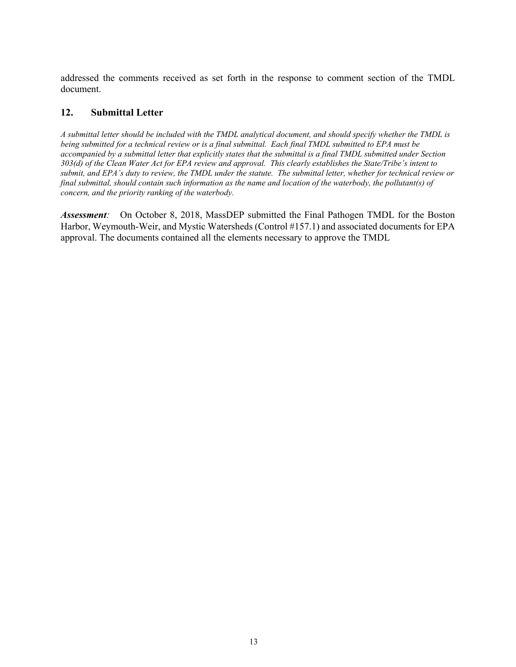addressed the comments received as set forth in the response to comment section of the TMDL document.

#### **12. Submittal Letter**

*A submittal letter should be included with the TMDL analytical document, and should specify whether the TMDL is being submitted for a technical review or is a final submittal. Each final TMDL submitted to EPA must be accompanied by a submittal letter that explicitly states that the submittal is a final TMDL submitted under Section 303(d) of the Clean Water Act for EPA review and approval. This clearly establishes the State/Tribe's intent to submit, and EPA's duty to review, the TMDL under the statute. The submittal letter, whether for technical review or final submittal, should contain such information as the name and location of the waterbody, the pollutant(s) of concern, and the priority ranking of the waterbody.* 

 *Assessment:* On October 8, 2018, MassDEP submitted the Final Pathogen TMDL for the Boston Harbor, Weymouth-Weir, and Mystic Watersheds (Control #157.1) and associated documents for EPA approval. The documents contained all the elements necessary to approve the TMDL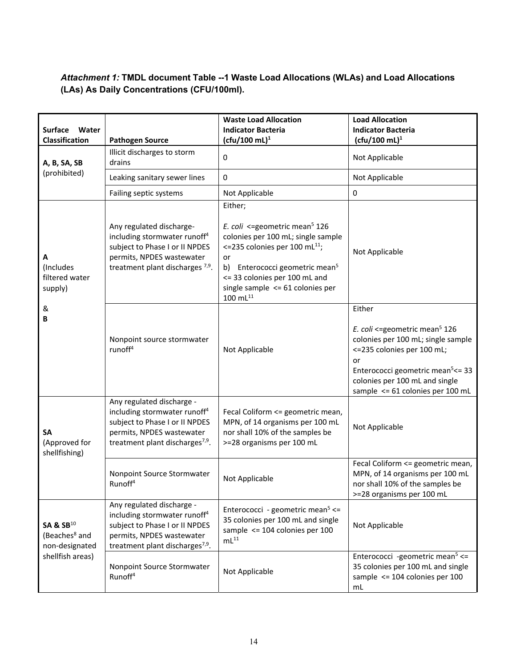# *Attachment 1:* **TMDL document Table --1 Waste Load Allocations (WLAs) and Load Allocations (LAs) As Daily Concentrations (CFU/100ml).**

| <b>Surface</b><br>Water<br>Classification                                                | <b>Pathogen Source</b>                                                                                                                                                              | <b>Waste Load Allocation</b><br><b>Indicator Bacteria</b><br>$(ctu/100$ mL $)^1$                                                                                                                                                                                                                      | <b>Load Allocation</b><br><b>Indicator Bacteria</b><br>$(ctu/100$ mL $)^1$                                                                                                                                                                                 |
|------------------------------------------------------------------------------------------|-------------------------------------------------------------------------------------------------------------------------------------------------------------------------------------|-------------------------------------------------------------------------------------------------------------------------------------------------------------------------------------------------------------------------------------------------------------------------------------------------------|------------------------------------------------------------------------------------------------------------------------------------------------------------------------------------------------------------------------------------------------------------|
| A, B, SA, SB                                                                             | Illicit discharges to storm<br>drains                                                                                                                                               | 0                                                                                                                                                                                                                                                                                                     | Not Applicable                                                                                                                                                                                                                                             |
| (prohibited)                                                                             | Leaking sanitary sewer lines                                                                                                                                                        | 0                                                                                                                                                                                                                                                                                                     | Not Applicable                                                                                                                                                                                                                                             |
|                                                                                          | Failing septic systems                                                                                                                                                              | Not Applicable                                                                                                                                                                                                                                                                                        | 0                                                                                                                                                                                                                                                          |
| А<br>(Includes<br>filtered water<br>supply)                                              | Any regulated discharge-<br>including stormwater runoff <sup>4</sup><br>subject to Phase I or II NPDES<br>permits, NPDES wastewater<br>treatment plant discharges <sup>7,9</sup> .  | Either;<br>E. coli <= geometric mean <sup>5</sup> 126<br>colonies per 100 mL; single sample<br><=235 colonies per 100 mL $^{11}$ ;<br>or<br>Enterococci geometric mean <sup>5</sup><br>b)<br><= 33 colonies per 100 mL and<br>single sample $\leq$ 61 colonies per<br>$100 \; \text{m} \text{L}^{11}$ | Not Applicable                                                                                                                                                                                                                                             |
| &<br>В                                                                                   | Nonpoint source stormwater<br>runoff <sup>4</sup>                                                                                                                                   | Not Applicable                                                                                                                                                                                                                                                                                        | Either<br>E. coli <= geometric mean <sup>5</sup> 126<br>colonies per 100 mL; single sample<br><= 235 colonies per 100 mL;<br>or<br>Enterococci geometric mean <sup>5</sup> <= 33<br>colonies per 100 mL and single<br>sample $\leq$ 61 colonies per 100 mL |
| SA<br>(Approved for<br>shellfishing)                                                     | Any regulated discharge -<br>including stormwater runoff <sup>4</sup><br>subject to Phase I or II NPDES<br>permits, NPDES wastewater<br>treatment plant discharges <sup>7,9</sup> . | Fecal Coliform <= geometric mean,<br>MPN, of 14 organisms per 100 mL<br>nor shall 10% of the samples be<br>>=28 organisms per 100 mL                                                                                                                                                                  | Not Applicable                                                                                                                                                                                                                                             |
|                                                                                          | Nonpoint Source Stormwater<br>Runoff <sup>4</sup>                                                                                                                                   | Not Applicable                                                                                                                                                                                                                                                                                        | Fecal Coliform <= geometric mean,<br>MPN, of 14 organisms per 100 mL<br>nor shall 10% of the samples be<br>>=28 organisms per 100 mL                                                                                                                       |
| SA & SB <sup>10</sup><br>(Beaches <sup>8</sup> and<br>non-designated<br>shellfish areas) | Any regulated discharge -<br>including stormwater runoff <sup>4</sup><br>subject to Phase I or II NPDES<br>permits, NPDES wastewater<br>treatment plant discharges <sup>7,9</sup> . | Enterococci - geometric mean <sup>5</sup> <=<br>35 colonies per 100 mL and single<br>sample $\leq$ 104 colonies per 100<br>$mL^{11}$                                                                                                                                                                  | Not Applicable                                                                                                                                                                                                                                             |
|                                                                                          | Nonpoint Source Stormwater<br>Runoff <sup>4</sup>                                                                                                                                   | Not Applicable                                                                                                                                                                                                                                                                                        | Enterococci -geometric mean <sup>5</sup> <=<br>35 colonies per 100 mL and single<br>sample <= 104 colonies per 100<br>mL                                                                                                                                   |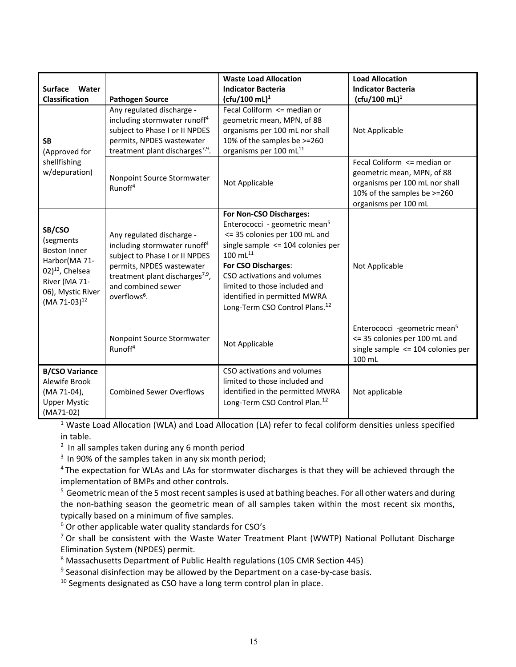|                                                                                                                                                       |                                                                                                                                                                                                                                       | <b>Waste Load Allocation</b>                                                                                                                                                                                                                                                                                                            | <b>Load Allocation</b>                                                                                                                             |
|-------------------------------------------------------------------------------------------------------------------------------------------------------|---------------------------------------------------------------------------------------------------------------------------------------------------------------------------------------------------------------------------------------|-----------------------------------------------------------------------------------------------------------------------------------------------------------------------------------------------------------------------------------------------------------------------------------------------------------------------------------------|----------------------------------------------------------------------------------------------------------------------------------------------------|
| <b>Surface</b><br>Water<br><b>Classification</b>                                                                                                      | <b>Pathogen Source</b>                                                                                                                                                                                                                | <b>Indicator Bacteria</b><br>(cfu/100 mL) <sup>1</sup>                                                                                                                                                                                                                                                                                  | <b>Indicator Bacteria</b><br>$(cfu/100 ml)^1$                                                                                                      |
| <b>SB</b><br>(Approved for                                                                                                                            | Any regulated discharge -<br>including stormwater runoff <sup>4</sup><br>subject to Phase I or II NPDES<br>permits, NPDES wastewater<br>treatment plant discharges <sup>7,9</sup> .                                                   | Fecal Coliform <= median or<br>geometric mean, MPN, of 88<br>organisms per 100 mL nor shall<br>10% of the samples be >=260<br>organisms per 100 mL <sup>11</sup>                                                                                                                                                                        | Not Applicable                                                                                                                                     |
| shellfishing<br>w/depuration)                                                                                                                         | Nonpoint Source Stormwater<br>Runoff <sup>4</sup>                                                                                                                                                                                     | Not Applicable                                                                                                                                                                                                                                                                                                                          | Fecal Coliform <= median or<br>geometric mean, MPN, of 88<br>organisms per 100 mL nor shall<br>10% of the samples be >=260<br>organisms per 100 mL |
| SB/CSO<br>(segments<br><b>Boston Inner</b><br>Harbor(MA 71-<br>$02)^{12}$ , Chelsea<br>River (MA 71-<br>06), Mystic River<br>(MA 71-03) <sup>12</sup> | Any regulated discharge -<br>including stormwater runoff <sup>4</sup><br>subject to Phase I or II NPDES<br>permits, NPDES wastewater<br>treatment plant discharges <sup>7,9</sup> ,<br>and combined sewer<br>overflows <sup>6</sup> . | For Non-CSO Discharges:<br>Enterococci - geometric mean <sup>5</sup><br><= 35 colonies per 100 mL and<br>single sample $\leq$ 104 colonies per<br>$100$ mL $^{11}$<br>For CSO Discharges:<br>CSO activations and volumes<br>limited to those included and<br>identified in permitted MWRA<br>Long-Term CSO Control Plans. <sup>12</sup> | Not Applicable                                                                                                                                     |
|                                                                                                                                                       | Nonpoint Source Stormwater<br>Runoff <sup>4</sup>                                                                                                                                                                                     | Not Applicable                                                                                                                                                                                                                                                                                                                          | Enterococci -geometric mean <sup>5</sup><br><= 35 colonies per 100 mL and<br>single sample $\leq$ 104 colonies per<br>100 mL                       |
| <b>B/CSO Variance</b><br>Alewife Brook<br>(MA 71-04),<br><b>Upper Mystic</b><br>$(MA71-02)$                                                           | <b>Combined Sewer Overflows</b>                                                                                                                                                                                                       | CSO activations and volumes<br>limited to those included and<br>identified in the permitted MWRA<br>Long-Term CSO Control Plan. <sup>12</sup>                                                                                                                                                                                           | Not applicable                                                                                                                                     |

<sup>1</sup> Waste Load Allocation (WLA) and Load Allocation (LA) refer to fecal coliform densities unless specified in table.

 $2$  In all samples taken during any 6 month period

 $3$  In 90% of the samples taken in any six month period;

 $4$ The expectation for WLAs and LAs for stormwater discharges is that they will be achieved through the implementation of BMPs and other controls.

 $^5$  Geometric mean of the 5 most recent samples is used at bathing beaches. For all other waters and during the non‐bathing season the geometric mean of all samples taken within the most recent six months, typically based on a minimum of five samples.

 $6$  Or other applicable water quality standards for CSO's

 $7$  Or shall be consistent with the Waste Water Treatment Plant (WWTP) National Pollutant Discharge Elimination System (NPDES) permit.

<sup>8</sup> Massachusetts Department of Public Health regulations (105 CMR Section 445)

 $9$  Seasonal disinfection may be allowed by the Department on a case-by-case basis.

 $10$  Segments designated as CSO have a long term control plan in place.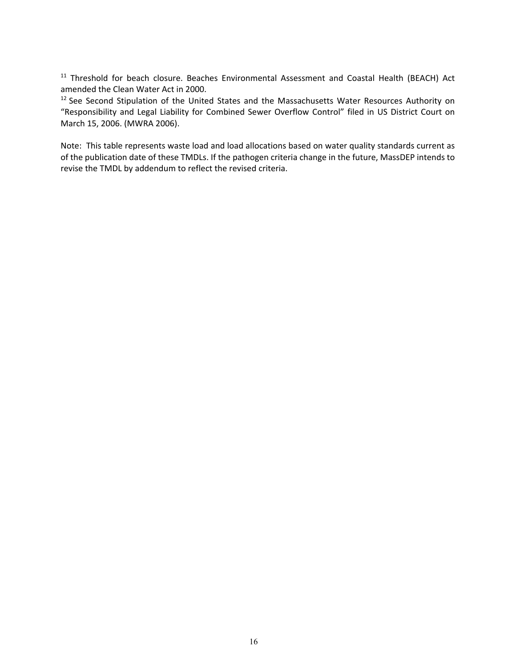<sup>11</sup> Threshold for beach closure. Beaches Environmental Assessment and Coastal Health (BEACH) Act amended the Clean Water Act in 2000.

 $12$  See Second Stipulation of the United States and the Massachusetts Water Resources Authority on "Responsibility and Legal Liability for Combined Sewer Overflow Control" filed in US District Court on March 15, 2006. (MWRA 2006).

Note: This table represents waste load and load allocations based on water quality standards current as of the publication date of these TMDLs. If the pathogen criteria change in the future, MassDEP intends to revise the TMDL by addendum to reflect the revised criteria.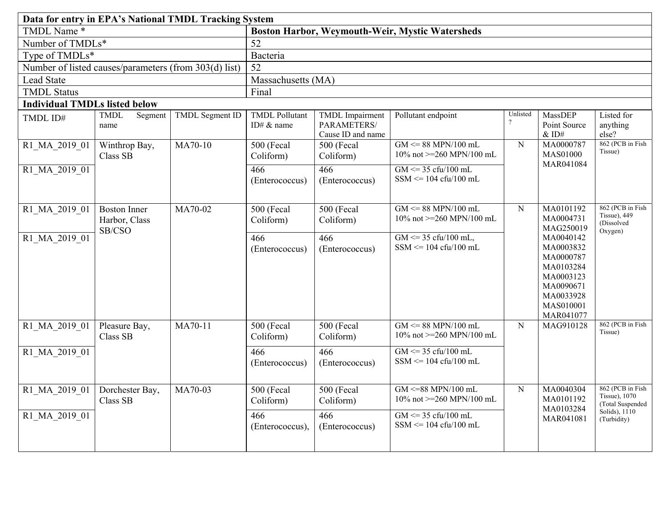|                                      | Data for entry in EPA's National TMDL Tracking System |                 |                                                        |                                                            |                                                                                        |                                                     |                                                                                                                   |                                                               |                                                           |
|--------------------------------------|-------------------------------------------------------|-----------------|--------------------------------------------------------|------------------------------------------------------------|----------------------------------------------------------------------------------------|-----------------------------------------------------|-------------------------------------------------------------------------------------------------------------------|---------------------------------------------------------------|-----------------------------------------------------------|
| TMDL Name*                           |                                                       |                 | <b>Boston Harbor, Weymouth-Weir, Mystic Watersheds</b> |                                                            |                                                                                        |                                                     |                                                                                                                   |                                                               |                                                           |
| Number of TMDLs*                     |                                                       |                 | 52                                                     |                                                            |                                                                                        |                                                     |                                                                                                                   |                                                               |                                                           |
| Type of TMDLs*                       |                                                       |                 | Bacteria                                               |                                                            |                                                                                        |                                                     |                                                                                                                   |                                                               |                                                           |
|                                      | Number of listed causes/parameters (from 303(d) list) |                 | 52                                                     |                                                            |                                                                                        |                                                     |                                                                                                                   |                                                               |                                                           |
| Lead State                           |                                                       |                 | Massachusetts (MA)                                     |                                                            |                                                                                        |                                                     |                                                                                                                   |                                                               |                                                           |
| <b>TMDL Status</b>                   |                                                       |                 | Final                                                  |                                                            |                                                                                        |                                                     |                                                                                                                   |                                                               |                                                           |
| <b>Individual TMDLs listed below</b> |                                                       |                 |                                                        |                                                            |                                                                                        |                                                     |                                                                                                                   |                                                               |                                                           |
| TMDL ID#                             | <b>TMDL</b><br>Segment<br>name                        | TMDL Segment ID | <b>TMDL Pollutant</b><br>ID# & name                    | <b>TMDL</b> Impairment<br>PARAMETERS/<br>Cause ID and name | Pollutant endpoint                                                                     | Unlisted<br>$\overline{\mathcal{C}}$                | <b>MassDEP</b><br>Point Source<br>$&$ ID#                                                                         | Listed for<br>anything<br>else?                               |                                                           |
| R1_MA_2019_01                        | Winthrop Bay,<br>Class SB                             | MA70-10         | <b>500 (Fecal</b><br>Coliform)                         | 500 (Fecal<br>Coliform)                                    | $GM \leq 88$ MPN/100 mL<br>10\% not >=260 MPN/100 mL                                   | ${\bf N}$                                           | MA0000787<br><b>MAS01000</b>                                                                                      | 862 (PCB in Fish<br>Tissue)                                   |                                                           |
| R1 MA 2019 01                        |                                                       |                 | 466<br>(Enterococcus)                                  | 466<br>(Enterococcus)                                      | $GM \le 35 \text{ cftu}/100 \text{ mL}$<br>$SSM \leq 104 \text{ cftu}/100 \text{ mL}$  |                                                     | MAR041084                                                                                                         |                                                               |                                                           |
| R1 MA 2019 01                        | <b>Boston Inner</b><br>Harbor, Class                  | SB/CSO          | MA70-02                                                | 500 (Fecal<br>Coliform)                                    | 500 (Fecal<br>Coliform)                                                                | $GM \leq 88$ MPN/100 mL<br>10% not >=260 MPN/100 mL | N                                                                                                                 | MA0101192<br>MA0004731<br>MAG250019                           | 862 (PCB in Fish<br>Tissue), 449<br>(Dissolved<br>Oxygen) |
| R1 MA 2019 01                        |                                                       |                 | 466<br>(Enterococcus)                                  | 466<br>(Enterococcus)                                      | $GM \le 35 \text{ cft}/100 \text{ mL}$ ,<br>$SSM \leq 104 \text{ cftu}/100 \text{ mL}$ |                                                     | MA0040142<br>MA0003832<br>MA0000787<br>MA0103284<br>MA0003123<br>MA0090671<br>MA0033928<br>MAS010001<br>MAR041077 |                                                               |                                                           |
| R1 MA 2019 01                        | Pleasure Bay,<br>Class SB                             | MA70-11         | 500 (Fecal<br>Coliform)                                | 500 (Fecal<br>Coliform)                                    | $GM \leq 88$ MPN/100 mL<br>10% not >=260 MPN/100 mL                                    | $\mathbf N$                                         | MAG910128                                                                                                         | 862 (PCB in Fish<br>Tissue)                                   |                                                           |
| R1 MA 2019 01                        |                                                       |                 | 466<br>(Enterococcus)                                  | 466<br>(Enterococcus)                                      | $GM \le 35 \text{ cft}/100 \text{ mL}$<br>$SSM \leq 104 \text{ cftu}/100 \text{ mL}$   |                                                     |                                                                                                                   |                                                               |                                                           |
| R1 MA 2019 01                        | Dorchester Bay,<br>Class SB                           | MA70-03         | 500 (Fecal<br>Coliform)                                | 500 (Fecal<br>Coliform)                                    | $GM \leq 88$ MPN/100 mL<br>10% not >=260 MPN/100 mL                                    | N                                                   | MA0040304<br>MA0101192<br>MA0103284                                                                               | 862 (PCB in Fish<br><b>Tissue</b> ), 1070<br>(Total Suspended |                                                           |
| R1 MA 2019 01                        |                                                       |                 | 466<br>(Enterococcus),                                 | 466<br>(Enterococcus)                                      | $GM \le 35 \text{ cft} / 100 \text{ mL}$<br>$SSM \leq 104 \text{ cftu}/100 \text{ mL}$ |                                                     | MAR041081                                                                                                         | Solids), $1110$<br>(Turbidity)                                |                                                           |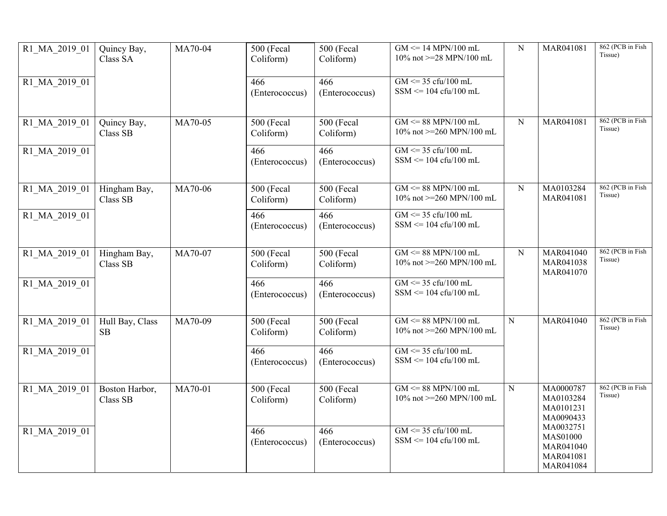| R1 MA 2019 01 | Quincy Bay,<br>Class SA    | MA70-04 | 500 (Fecal<br>Coliform)   | 500 (Fecal<br>Coliform) | $GM \leq 14$ MPN/100 mL<br>10% not >=28 MPN/100 mL                                     | ${\bf N}$   | MAR041081                                                           | 862 (PCB in Fish<br>Tissue) |
|---------------|----------------------------|---------|---------------------------|-------------------------|----------------------------------------------------------------------------------------|-------------|---------------------------------------------------------------------|-----------------------------|
| R1 MA 2019 01 |                            |         | 466<br>(Enterococcus)     | 466<br>(Enterococcus)   | $GM \le 35 \text{ cftu}/100 \text{ mL}$<br>$SSM \leq 104 \text{ cftu}/100 \text{ mL}$  |             |                                                                     |                             |
| R1 MA 2019 01 | Quincy Bay,<br>Class SB    | MA70-05 | $500$ (Fecal<br>Coliform) | 500 (Fecal<br>Coliform) | $GM \leq 88$ MPN/100 mL<br>10% not >=260 MPN/100 mL                                    | ${\bf N}$   | MAR041081                                                           | 862 (PCB in Fish<br>Tissue) |
| R1 MA 2019 01 |                            |         | 466<br>(Enterococcus)     | 466<br>(Enterococcus)   | $GM \le 35 \text{ cftu}/100 \text{ mL}$<br>$SSM \leq 104 \text{ cftu}/100 \text{ mL}$  |             |                                                                     |                             |
| R1 MA 2019 01 | Hingham Bay,<br>Class SB   | MA70-06 | 500 (Fecal<br>Coliform)   | 500 (Fecal<br>Coliform) | $GM \leq 88$ MPN/100 mL<br>10% not >=260 MPN/100 mL                                    | $\mathbf N$ | MA0103284<br>MAR041081                                              | 862 (PCB in Fish<br>Tissue) |
| R1 MA 2019 01 |                            |         | 466<br>(Enterococcus)     | 466<br>(Enterococcus)   | $GM \le 35 \text{ cft} / 100 \text{ mL}$<br>$SSM \leq 104 \text{ cftu}/100 \text{ mL}$ |             |                                                                     |                             |
| R1 MA 2019 01 | Hingham Bay,<br>Class SB   | MA70-07 | 500 (Fecal<br>Coliform)   | 500 (Fecal<br>Coliform) | $GM \leq 88$ MPN/100 mL<br>10% not >=260 MPN/100 mL                                    | N           | MAR041040<br>MAR041038<br>MAR041070                                 | 862 (PCB in Fish<br>Tissue) |
| R1 MA 2019 01 |                            |         | 466<br>(Enterococcus)     | 466<br>(Enterococcus)   | $GM \le 35 \text{ cft} / 100 \text{ mL}$<br>$SSM \leq 104 \text{ cftu}/100 \text{ mL}$ |             |                                                                     |                             |
| R1 MA 2019 01 | Hull Bay, Class<br>SB      | MA70-09 | 500 (Fecal<br>Coliform)   | 500 (Fecal<br>Coliform) | $GM \leq 88$ MPN/100 mL<br>10% not >=260 MPN/100 mL                                    | ${\bf N}$   | MAR041040                                                           | 862 (PCB in Fish<br>Tissue) |
| R1 MA 2019 01 |                            |         | 466<br>(Enterococcus)     | 466<br>(Enterococcus)   | $GM \le 35 \text{ cftu}/100 \text{ mL}$<br>$SSM \leq 104 \text{ cftu}/100 \text{ mL}$  |             |                                                                     |                             |
| R1 MA 2019 01 | Boston Harbor,<br>Class SB | MA70-01 | 500 (Fecal<br>Coliform)   | 500 (Fecal<br>Coliform) | $GM \leq 88$ MPN/100 mL<br>10% not >=260 MPN/100 mL                                    | ${\bf N}$   | MA0000787<br>MA0103284<br>MA0101231<br>MA0090433                    | 862 (PCB in Fish<br>Tissue) |
| R1 MA 2019 01 |                            |         | 466<br>(Enterococcus)     | 466<br>(Enterococcus)   | $GM \le 35 \text{ cft} / 100 \text{ mL}$<br>$SSM \leq 104 \text{ cftu}/100 \text{ mL}$ |             | MA0032751<br><b>MAS01000</b><br>MAR041040<br>MAR041081<br>MAR041084 |                             |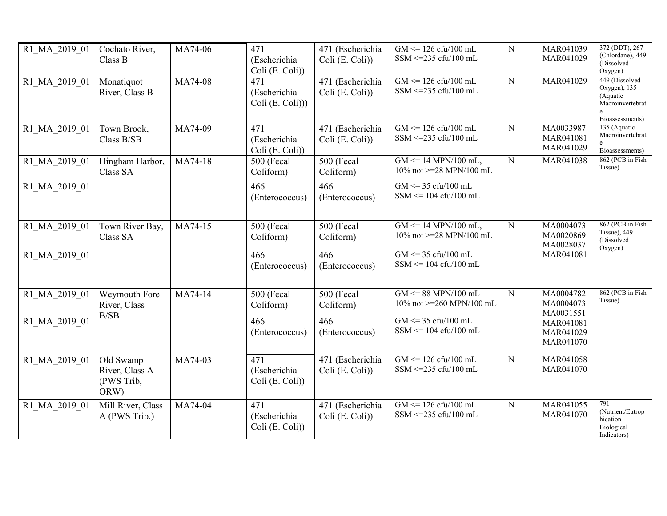| R1 MA 2019 01 | Cochato River,<br>Class B                         | MA74-06 | 471<br>(Escherichia<br>Coli (E. Coli))  | 471 (Escherichia<br>Coli (E. Coli)) | $GM \le 126 \text{ cftu}/100 \text{ mL}$<br>SSM <= $235 \text{ cftu}/100 \text{ mL}$   | ${\bf N}$   | MAR041039<br>MAR041029              | 372 (DDT), 267<br>(Chlordane), 449<br>(Dissolved)<br>Oxygen)                      |
|---------------|---------------------------------------------------|---------|-----------------------------------------|-------------------------------------|----------------------------------------------------------------------------------------|-------------|-------------------------------------|-----------------------------------------------------------------------------------|
| R1 MA 2019 01 | Monatiquot<br>River, Class B                      | MA74-08 | 471<br>(Escherichia<br>Coli (E. Coli))) | 471 (Escherichia<br>Coli (E. Coli)) | $GM \le 126 \text{ cftu}/100 \text{ mL}$<br>SSM <= $235 \text{ cftu}/100 \text{ mL}$   | ${\bf N}$   | MAR041029                           | 449 (Dissolved<br>Oxygen), 135<br>(Aquatic<br>Macroinvertebrat<br>Bioassessments) |
| R1 MA 2019 01 | Town Brook,<br>Class B/SB                         | MA74-09 | 471<br>(Escherichia<br>Coli (E. Coli))  | 471 (Escherichia<br>Coli (E. Coli)) | $GM \le 126 \text{ cftu}/100 \text{ mL}$<br>SSM <= $235 \text{ cftu}/100 \text{ mL}$   | ${\bf N}$   | MA0033987<br>MAR041081<br>MAR041029 | 135 (Aquatic<br>Macroinvertebrat<br>Bioassessments)                               |
| R1 MA 2019 01 | Hingham Harbor,<br>Class SA                       | MA74-18 | 500 (Fecal<br>Coliform)                 | 500 (Fecal<br>Coliform)             | $GM \le 14 \text{ MPN}/100 \text{ mL}$ ,<br>10% not $>=$ 28 MPN/100 mL                 | N           | MAR041038                           | 862 (PCB in Fish<br>Tissue)                                                       |
| R1 MA 2019 01 |                                                   |         | 466<br>(Enterococcus)                   | 466<br>(Enterococcus)               | $GM \leq 35 \text{ cftu}/100 \text{ mL}$<br>$SSM \leq 104 \text{ cftu}/100 \text{ mL}$ |             |                                     |                                                                                   |
| R1 MA 2019 01 | Town River Bay,<br>Class SA                       | MA74-15 | 500 (Fecal<br>Coliform)                 | 500 (Fecal<br>Coliform)             | $GM \le 14 \text{ MPN}/100 \text{ mL}$ ,<br>10% not >=28 MPN/100 mL                    | ${\bf N}$   | MA0004073<br>MA0020869<br>MA0028037 | 862 (PCB in Fish<br>Tissue), 449<br>(Dissolved<br>Oxygen)                         |
| R1 MA 2019 01 |                                                   |         | 466<br>(Enterococcus)                   | 466<br>(Enterococcus)               | $GM \le 35 \text{ cft} / 100 \text{ mL}$<br>$SSM \leq 104 \text{ cftu}/100 \text{ mL}$ |             | MAR041081                           |                                                                                   |
| R1 MA 2019 01 | Weymouth Fore<br>River, Class                     | MA74-14 | 500 (Fecal<br>Coliform)                 | 500 (Fecal<br>Coliform)             | $GM \leq 88$ MPN/100 mL<br>10% not >=260 MPN/100 mL                                    | $\mathbf N$ | MA0004782<br>MA0004073<br>MA0031551 | 862 (PCB in Fish<br>Tissue)                                                       |
| R1 MA 2019 01 | B/SB                                              |         | 466<br>(Enterococcus)                   | 466<br>(Enterococcus)               | $GM \leq 35 \text{ cftu}/100 \text{ mL}$<br>$SSM \leq 104 \text{ cftu}/100 \text{ mL}$ |             | MAR041081<br>MAR041029<br>MAR041070 |                                                                                   |
| R1 MA 2019 01 | Old Swamp<br>River, Class A<br>(PWS Trib,<br>ORW) | MA74-03 | 471<br>(Escherichia<br>Coli (E. Coli))  | 471 (Escherichia<br>Coli (E. Coli)) | $GM \le 126 \text{ cftu}/100 \text{ mL}$<br>SSM <= $235 \text{ cftu}/100 \text{ mL}$   | ${\bf N}$   | MAR041058<br>MAR041070              |                                                                                   |
| R1 MA 2019 01 | Mill River, Class<br>A (PWS Trib.)                | MA74-04 | 471<br>(Escherichia<br>Coli (E. Coli))  | 471 (Escherichia<br>Coli (E. Coli)) | $GM \le 126 \text{ cftu}/100 \text{ mL}$<br>SSM <= $235 \text{ cftu}/100 \text{ mL}$   | ${\bf N}$   | MAR041055<br>MAR041070              | 791<br>(Nutrient/Eutrop<br>hication<br>Biological<br>Indicators)                  |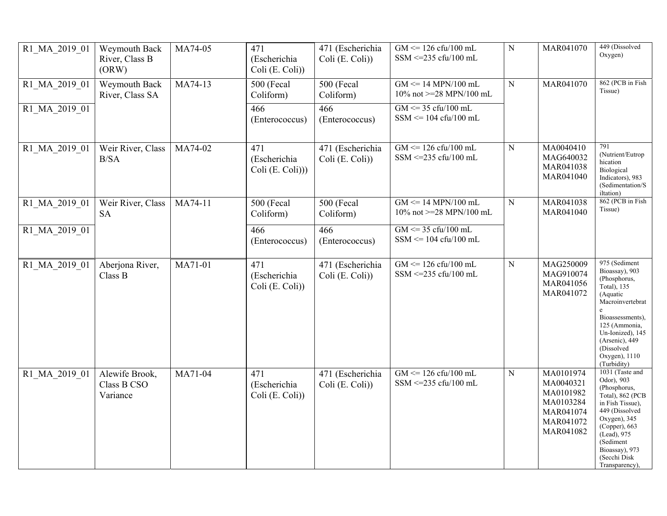| R1 MA 2019 01 | Weymouth Back<br>River, Class B<br>(ORW)  | MA74-05 | 471<br>(Escherichia<br>Coli (E. Coli))  | 471 (Escherichia<br>Coli (E. Coli)) | $GM \le 126 \text{ cftu}/100 \text{ mL}$<br>SSM <= 235 cfu/100 mL                      | ${\bf N}$ | MAR041070                                                                               | 449 (Dissolved<br>Oxygen)                                                                                                                                                                                                    |
|---------------|-------------------------------------------|---------|-----------------------------------------|-------------------------------------|----------------------------------------------------------------------------------------|-----------|-----------------------------------------------------------------------------------------|------------------------------------------------------------------------------------------------------------------------------------------------------------------------------------------------------------------------------|
| R1 MA 2019 01 | Weymouth Back<br>River, Class SA          | MA74-13 | 500 (Fecal<br>Coliform)                 | <b>500 (Fecal</b><br>Coliform)      | $GM \leq 14$ MPN/100 mL<br>10% not >=28 MPN/100 mL                                     | ${\bf N}$ | MAR041070                                                                               | 862 (PCB in Fish<br>Tissue)                                                                                                                                                                                                  |
| R1 MA 2019 01 |                                           |         | 466<br>(Enterococcus)                   | 466<br>(Enterococcus)               | $GM \le 35 \text{ cft}/100 \text{ mL}$<br>$SSM \leq 104 \text{ cftu}/100 \text{ mL}$   |           |                                                                                         |                                                                                                                                                                                                                              |
| R1 MA 2019 01 | Weir River, Class<br>B/SA                 | MA74-02 | 471<br>(Escherichia<br>Coli (E. Coli))) | 471 (Escherichia<br>Coli (E. Coli)) | $GM \le 126 \text{ cftu}/100 \text{ mL}$<br>SSM <= 235 cfu/100 mL                      | ${\bf N}$ | MA0040410<br>MAG640032<br>MAR041038<br>MAR041040                                        | 791<br>(Nutrient/Eutrop<br>hication<br>Biological<br>Indicators), 983<br>(Sedimentation/S<br>iltation)                                                                                                                       |
| R1 MA 2019 01 | Weir River, Class<br><b>SA</b>            | MA74-11 | 500 (Fecal<br>Coliform)                 | <b>500 (Fecal</b><br>Coliform)      | $GM \leq 14$ MPN/100 mL<br>10% not >=28 MPN/100 mL                                     | ${\bf N}$ | MAR041038<br>MAR041040                                                                  | 862 (PCB in Fish<br>Tissue)                                                                                                                                                                                                  |
| R1 MA 2019 01 |                                           |         | 466<br>(Enterococcus)                   | 466<br>(Enterococcus)               | $GM \le 35 \text{ cft} / 100 \text{ mL}$<br>$SSM \leq 104 \text{ cftu}/100 \text{ mL}$ |           |                                                                                         |                                                                                                                                                                                                                              |
| R1 MA 2019 01 | Aberjona River,<br>Class B                | MA71-01 | 471<br>(Escherichia<br>Coli (E. Coli))  | 471 (Escherichia<br>Coli (E. Coli)) | $GM \leq 126$ cfu/100 mL<br>$SSM \leq 235$ cfu/100 mL                                  | ${\bf N}$ | MAG250009<br>MAG910074<br>MAR041056<br>MAR041072                                        | 975 (Sediment<br>Bioassay), 903<br>(Phosphorus,<br>Total), 135<br>(Aquatic<br>Macroinvertebrat<br>e<br>Bioassessments),<br>125 (Ammonia,<br>Un-Ionized), 145<br>(Arsenic), 449<br>(Dissolved<br>Oxygen), 1110<br>(Turbidity) |
| R1 MA 2019 01 | Alewife Brook,<br>Class B CSO<br>Variance | MA71-04 | 471<br>(Escherichia<br>Coli (E. Coli))  | 471 (Escherichia<br>Coli (E. Coli)) | $GM \le 126 \text{ cftu}/100 \text{ mL}$<br>SSM <= 235 cfu/100 mL                      | ${\bf N}$ | MA0101974<br>MA0040321<br>MA0101982<br>MA0103284<br>MAR041074<br>MAR041072<br>MAR041082 | 1031 (Taste and<br>Odor), 903<br>(Phosphorus,<br>Total), 862 (PCB<br>in Fish Tissue),<br>449 (Dissolved<br>Oxygen), $345$<br>(Copper), 663<br>(Lead), 975<br>(Sediment<br>Bioassay), 973<br>(Secchi Disk<br>Transparency),   |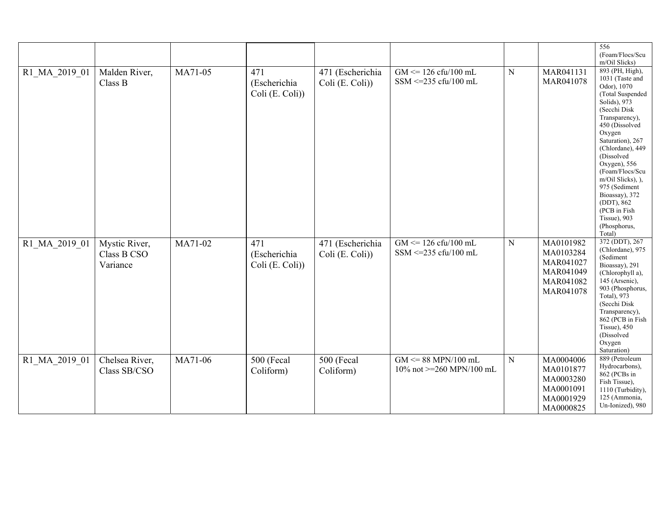|               |                                          |         |                                        |                                     |                                                                                      |           |                                                                            | 556<br>(Foam/Flocs/Scu<br>m/Oil Slicks)                                                                                                                                                                                                                                                                                                                                        |
|---------------|------------------------------------------|---------|----------------------------------------|-------------------------------------|--------------------------------------------------------------------------------------|-----------|----------------------------------------------------------------------------|--------------------------------------------------------------------------------------------------------------------------------------------------------------------------------------------------------------------------------------------------------------------------------------------------------------------------------------------------------------------------------|
| R1 MA 2019 01 | Malden River,<br>Class B                 | MA71-05 | 471<br>(Escherichia<br>Coli (E. Coli)) | 471 (Escherichia<br>Coli (E. Coli)) | $GM \le 126 \text{ cftu}/100 \text{ mL}$<br>SSM <= 235 cfu/100 mL                    | ${\bf N}$ | MAR041131<br>MAR041078                                                     | 893 (PH, High),<br>1031 (Taste and<br>Odor), 1070<br>(Total Suspended<br>Solids), 973<br>(Secchi Disk<br>Transparency),<br>450 (Dissolved<br>Oxygen<br>Saturation), 267<br>(Chlordane), 449<br>(Dissolved<br>Oxygen), $556$<br>(Foam/Flocs/Scu<br>m/Oil Slicks), ),<br>975 (Sediment<br>Bioassay), 372<br>(DDT), 862<br>(PCB in Fish<br>Tissue), 903<br>(Phosphorus,<br>Total) |
| R1 MA 2019 01 | Mystic River,<br>Class B CSO<br>Variance | MA71-02 | 471<br>(Escherichia<br>Coli (E. Coli)) | 471 (Escherichia<br>Coli (E. Coli)) | $GM \le 126 \text{ cftu}/100 \text{ mL}$<br>SSM <= $235 \text{ cftu}/100 \text{ mL}$ | ${\bf N}$ | MA0101982<br>MA0103284<br>MAR041027<br>MAR041049<br>MAR041082<br>MAR041078 | 372 (DDT), 267<br>(Chlordane), 975<br>(Sediment<br>Bioassay), 291<br>(Chlorophyll a),<br>145 (Arsenic),<br>903 (Phosphorus,<br>Total), 973<br>(Secchi Disk<br>Transparency),<br>862 (PCB in Fish<br>Tissue), $450$<br>(Dissolved<br>Oxygen<br>Saturation)                                                                                                                      |
| R1 MA 2019 01 | Chelsea River,<br>Class SB/CSO           | MA71-06 | 500 (Fecal<br>Coliform)                | 500 (Fecal<br>Coliform)             | $GM \leq 88$ MPN/100 mL<br>10% not >=260 MPN/100 mL                                  | ${\bf N}$ | MA0004006<br>MA0101877<br>MA0003280<br>MA0001091<br>MA0001929<br>MA0000825 | 889 (Petroleum<br>Hydrocarbons),<br>862 (PCBs in<br>Fish Tissue),<br>1110 (Turbidity),<br>125 (Ammonia,<br>Un-Ionized), 980                                                                                                                                                                                                                                                    |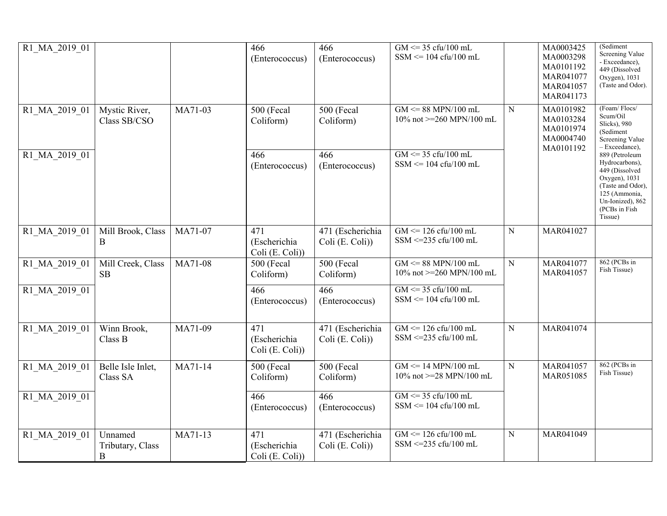| R1 MA 2019 01                  |                                  |         | 466<br>(Enterococcus)                  | 466<br>(Enterococcus)               | $GM \le 35 \text{ cft} / 100 \text{ mL}$<br>$SSM \leq 104 \text{ cftu}/100 \text{ mL}$          |           | MA0003425<br>MA0003298<br>MA0101192<br>MAR041077<br>MAR041057<br>MAR041173 | (Sediment<br>Screening Value<br>- Exceedance),<br>449 (Dissolved<br>Oxygen), 1031<br>(Taste and Odor).                                  |
|--------------------------------|----------------------------------|---------|----------------------------------------|-------------------------------------|-------------------------------------------------------------------------------------------------|-----------|----------------------------------------------------------------------------|-----------------------------------------------------------------------------------------------------------------------------------------|
| R1 MA 2019 01<br>R1 MA 2019 01 | Mystic River,<br>Class SB/CSO    | MA71-03 | 500 (Fecal<br>Coliform)<br>466         | 500 (Fecal<br>Coliform)<br>466      | $GM \leq 88$ MPN/100 mL<br>10% not >=260 MPN/100 mL<br>$GM \le 35 \text{ cft} / 100 \text{ mL}$ | ${\bf N}$ | MA0101982<br>MA0103284<br>MA0101974<br>MA0004740<br>MA0101192              | (Foam/Flocs/<br>Scum/Oil<br>Slicks), 980<br>(Sediment<br>Screening Value<br>- Exceedance),<br>889 (Petroleum                            |
|                                |                                  |         | (Enterococcus)                         | (Enterococcus)                      | $SSM \leq 104 \text{ cftu}/100 \text{ mL}$                                                      |           |                                                                            | Hydrocarbons),<br>449 (Dissolved<br>Oxygen), 1031<br>(Taste and Odor),<br>125 (Ammonia,<br>Un-Ionized), 862<br>(PCBs in Fish<br>Tissue) |
| R1 MA 2019 01                  | Mill Brook, Class<br>B           | MA71-07 | 471<br>(Escherichia<br>Coli (E. Coli)) | 471 (Escherichia<br>Coli (E. Coli)) | $GM \leq 126$ cfu/100 mL<br>SSM <= 235 cfu/100 mL                                               | ${\bf N}$ | MAR041027                                                                  |                                                                                                                                         |
| R1 MA 2019 01                  | Mill Creek, Class<br><b>SB</b>   | MA71-08 | 500 (Fecal<br>Coliform)                | 500 (Fecal<br>Coliform)             | $GM \leq 88$ MPN/100 mL<br>10% not >=260 MPN/100 mL                                             | ${\bf N}$ | MAR041077<br>MAR041057                                                     | 862 (PCBs in<br>Fish Tissue)                                                                                                            |
| R1 MA 2019 01                  |                                  |         | 466<br>(Enterococcus)                  | 466<br>(Enterococcus)               | $GM \le 35 \text{ cftu}/100 \text{ mL}$<br>$SSM \leq 104 \text{ cftu}/100 \text{ mL}$           |           |                                                                            |                                                                                                                                         |
| R1 MA 2019 01                  | Winn Brook,<br>Class B           | MA71-09 | 471<br>(Escherichia<br>Coli (E. Coli)) | 471 (Escherichia<br>Coli (E. Coli)) | $GM \leq 126$ cfu/100 mL<br>SSM <= 235 cfu/100 mL                                               | ${\bf N}$ | MAR041074                                                                  |                                                                                                                                         |
| R1 MA 2019 01                  | Belle Isle Inlet,<br>Class SA    | MA71-14 | 500 (Fecal<br>Coliform)                | 500 (Fecal<br>Coliform)             | $GM \leq 14$ MPN/100 mL<br>10% not >=28 MPN/100 mL                                              | ${\bf N}$ | MAR041057<br>MAR051085                                                     | 862 (PCBs in<br>Fish Tissue)                                                                                                            |
| R1 MA 2019 01                  |                                  |         | 466<br>(Enterococcus)                  | 466<br>(Enterococcus)               | $GM \le 35 \text{ cft}/100 \text{ mL}$<br>$SSM \leq 104 \text{ cftu}/100 \text{ mL}$            |           |                                                                            |                                                                                                                                         |
| R1 MA 2019 01                  | Unnamed<br>Tributary, Class<br>B | MA71-13 | 471<br>(Escherichia<br>Coli (E. Coli)) | 471 (Escherichia<br>Coli (E. Coli)) | $GM \le 126 \text{ cftu}/100 \text{ mL}$<br>SSM <= 235 cfu/100 mL                               | ${\bf N}$ | MAR041049                                                                  |                                                                                                                                         |